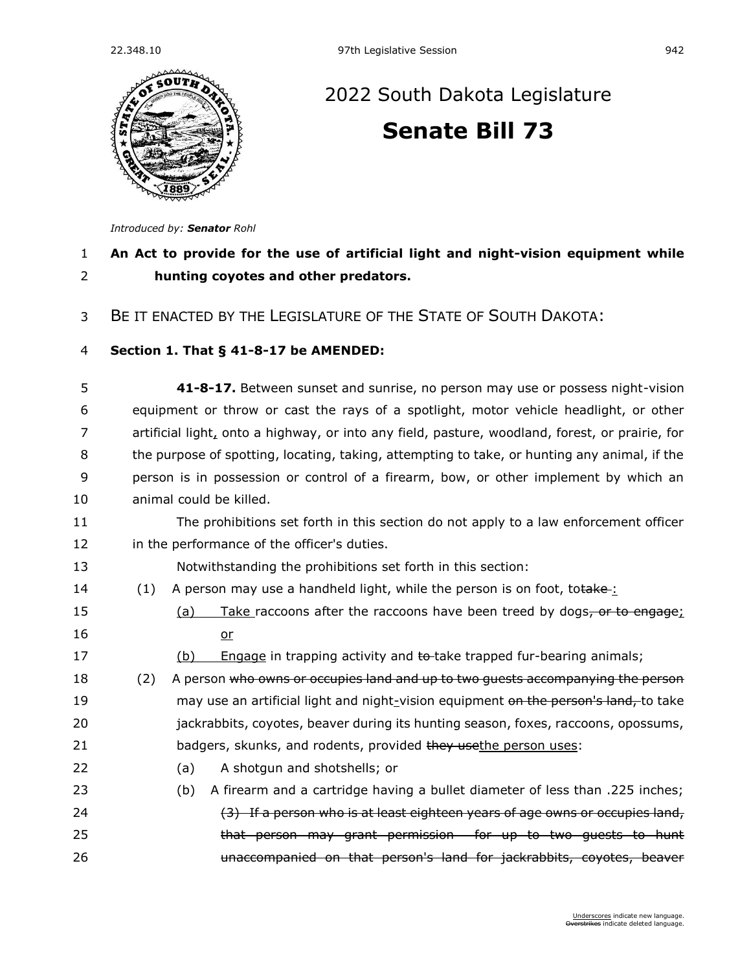

## [2022 South Dakota Legislature](https://sdlegislature.gov/Session/Bills/64) **[Senate Bill 73](https://sdlegislature.gov/Session/Bill/22919)**

*Introduced by: Senator [Rohl](https://sdlegislature.gov/Legislators/Profile/3990/Detail)*

## 1 **An Act to provide for the use of artificial light and night-vision equipment while**  2 **hunting coyotes and other predators.**

3 BE IT ENACTED BY THE LEGISLATURE OF THE STATE OF SOUTH DAKOTA:

## 4 **Section 1. [That § 41-8-17 be AMENDED:](https://sdlegislature.gov/Statutes?Statute=41-8-17)**

| 5  | 41-8-17. Between sunset and sunrise, no person may use or possess night-vision                  |
|----|-------------------------------------------------------------------------------------------------|
| 6  | equipment or throw or cast the rays of a spotlight, motor vehicle headlight, or other           |
| 7  | artificial light, onto a highway, or into any field, pasture, woodland, forest, or prairie, for |
| 8  | the purpose of spotting, locating, taking, attempting to take, or hunting any animal, if the    |
| 9  | person is in possession or control of a firearm, bow, or other implement by which an            |
| 10 | animal could be killed.                                                                         |
| 11 | The prohibitions set forth in this section do not apply to a law enforcement officer            |
| 12 | in the performance of the officer's duties.                                                     |
| 13 | Notwithstanding the prohibitions set forth in this section:                                     |
| 14 | A person may use a handheld light, while the person is on foot, totake-:<br>(1)                 |
| 15 | Take raccoons after the raccoons have been treed by dogs, or to engage;<br>(a)                  |
| 16 | $or$                                                                                            |
| 17 | Engage in trapping activity and to-take trapped fur-bearing animals;<br>(b)                     |
| 18 | A person who owns or occupies land and up to two guests accompanying the person<br>(2)          |
| 19 | may use an artificial light and night-vision equipment on the person's land, to take            |
| 20 | jackrabbits, coyotes, beaver during its hunting season, foxes, raccoons, opossums,              |
| 21 | badgers, skunks, and rodents, provided they usethe person uses:                                 |
| 22 | A shotgun and shotshells; or<br>(a)                                                             |
| 23 | A firearm and a cartridge having a bullet diameter of less than .225 inches;<br>(b)             |
| 24 | (3) If a person who is at least eighteen years of age owns or occupies land,                    |
| 25 | that person may grant permission for up to two quests to hunt                                   |
| 26 | unaccompanied on that person's land for jackrabbits, coyotes, beaver                            |